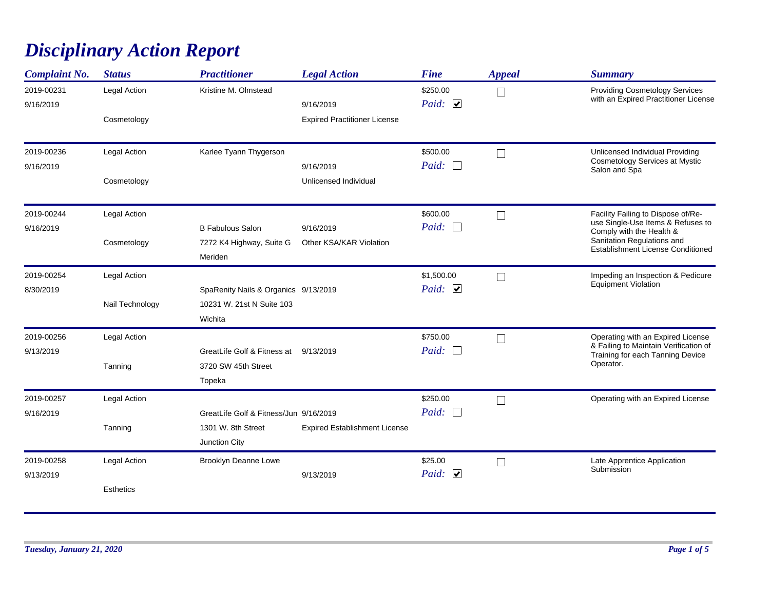## *Disciplinary Action Report*

| <b>Complaint No.</b>    | <b>Status</b>                    | <b>Practitioner</b>                                                           | <b>Legal Action</b>                              | <b>Fine</b>                      | <b>Appeal</b>            | <b>Summary</b>                                                                                                                                                                |
|-------------------------|----------------------------------|-------------------------------------------------------------------------------|--------------------------------------------------|----------------------------------|--------------------------|-------------------------------------------------------------------------------------------------------------------------------------------------------------------------------|
| 2019-00231<br>9/16/2019 | Legal Action<br>Cosmetology      | Kristine M. Olmstead                                                          | 9/16/2019<br><b>Expired Practitioner License</b> | \$250.00<br>Paid: $\Box$         | $\mathcal{A}$            | <b>Providing Cosmetology Services</b><br>with an Expired Practitioner License                                                                                                 |
| 2019-00236<br>9/16/2019 | Legal Action<br>Cosmetology      | Karlee Tyann Thygerson                                                        | 9/16/2019<br>Unlicensed Individual               | \$500.00<br>Paid: $\Box$         |                          | Unlicensed Individual Providing<br>Cosmetology Services at Mystic<br>Salon and Spa                                                                                            |
| 2019-00244<br>9/16/2019 | Legal Action<br>Cosmetology      | <b>B Fabulous Salon</b><br>7272 K4 Highway, Suite G<br>Meriden                | 9/16/2019<br>Other KSA/KAR Violation             | \$600.00<br>Paid:                |                          | Facility Failing to Dispose of/Re-<br>use Single-Use Items & Refuses to<br>Comply with the Health &<br>Sanitation Regulations and<br><b>Establishment License Conditioned</b> |
| 2019-00254<br>8/30/2019 | Legal Action<br>Nail Technology  | SpaRenity Nails & Organics 9/13/2019<br>10231 W. 21st N Suite 103<br>Wichita  |                                                  | \$1,500.00<br>Paid: $\Box$       | $\Box$                   | Impeding an Inspection & Pedicure<br><b>Equipment Violation</b>                                                                                                               |
| 2019-00256<br>9/13/2019 | Legal Action<br>Tanning          | GreatLife Golf & Fitness at<br>3720 SW 45th Street<br>Topeka                  | 9/13/2019                                        | \$750.00<br>Paid:                |                          | Operating with an Expired License<br>& Failing to Maintain Verification of<br>Training for each Tanning Device<br>Operator.                                                   |
| 2019-00257<br>9/16/2019 | Legal Action<br>Tanning          | GreatLife Golf & Fitness/Jun 9/16/2019<br>1301 W. 8th Street<br>Junction City | <b>Expired Establishment License</b>             | \$250.00<br>Paid:                |                          | Operating with an Expired License                                                                                                                                             |
| 2019-00258<br>9/13/2019 | Legal Action<br><b>Esthetics</b> | Brooklyn Deanne Lowe                                                          | 9/13/2019                                        | \$25.00<br>Paid: $\triangledown$ | $\overline{\phantom{a}}$ | Late Apprentice Application<br>Submission                                                                                                                                     |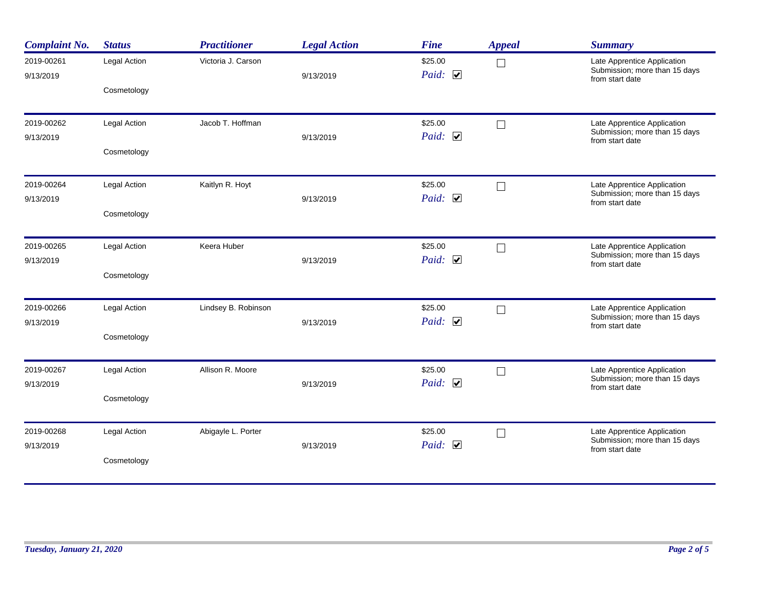| <b>Complaint No.</b>    | <b>Status</b> | <b>Practitioner</b> | <b>Legal Action</b> | <b>Fine</b>             | <b>Appeal</b>     | <b>Summary</b>                                                                  |
|-------------------------|---------------|---------------------|---------------------|-------------------------|-------------------|---------------------------------------------------------------------------------|
| 2019-00261<br>9/13/2019 | Legal Action  | Victoria J. Carson  | 9/13/2019           | \$25.00<br>Paid: $\Box$ | $\vert \ \ \vert$ | Late Apprentice Application<br>Submission; more than 15 days<br>from start date |
|                         | Cosmetology   |                     |                     |                         |                   |                                                                                 |
| 2019-00262              | Legal Action  | Jacob T. Hoffman    |                     | \$25.00                 | $\Box$            | Late Apprentice Application<br>Submission; more than 15 days                    |
| 9/13/2019               | Cosmetology   |                     | 9/13/2019           | Paid: $\Box$            |                   | from start date                                                                 |
| 2019-00264<br>9/13/2019 | Legal Action  | Kaitlyn R. Hoyt     | 9/13/2019           | \$25.00<br>Paid: $\Box$ | $\Box$            | Late Apprentice Application<br>Submission; more than 15 days                    |
|                         | Cosmetology   |                     |                     |                         |                   | from start date                                                                 |
| 2019-00265<br>9/13/2019 | Legal Action  | Keera Huber         | 9/13/2019           | \$25.00<br>Paid: $\Box$ | $\Box$            | Late Apprentice Application<br>Submission; more than 15 days                    |
|                         | Cosmetology   |                     |                     |                         |                   | from start date                                                                 |
| 2019-00266<br>9/13/2019 | Legal Action  | Lindsey B. Robinson | 9/13/2019           | \$25.00<br>Paid: $\Box$ | $\Box$            | Late Apprentice Application<br>Submission; more than 15 days                    |
|                         | Cosmetology   |                     |                     |                         |                   | from start date                                                                 |
| 2019-00267              | Legal Action  | Allison R. Moore    |                     | \$25.00<br>Paid: $\Box$ | $\Box$            | Late Apprentice Application<br>Submission; more than 15 days                    |
| 9/13/2019               | Cosmetology   |                     | 9/13/2019           |                         |                   | from start date                                                                 |
| 2019-00268<br>9/13/2019 | Legal Action  | Abigayle L. Porter  | 9/13/2019           | \$25.00<br>Paid: $\Box$ | $\Box$            | Late Apprentice Application<br>Submission; more than 15 days                    |
|                         | Cosmetology   |                     |                     |                         |                   | from start date                                                                 |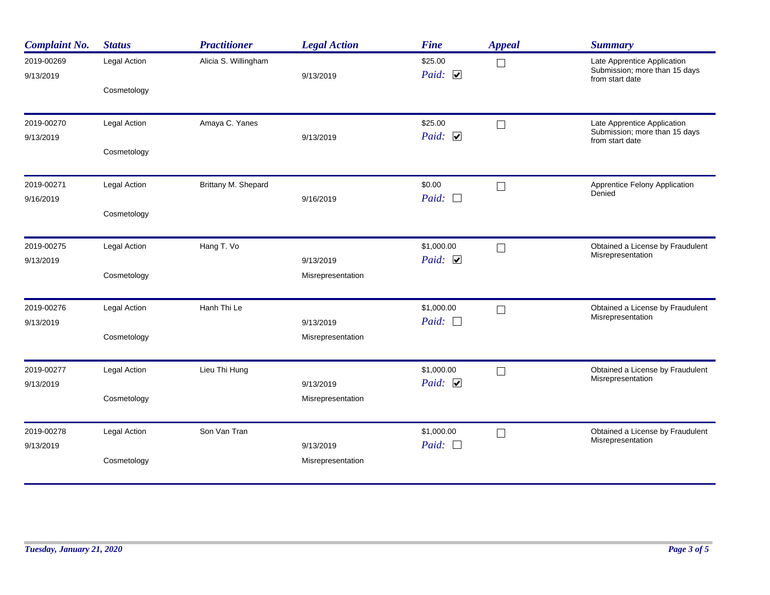| <b>Complaint No.</b>    | <b>Status</b> | <b>Practitioner</b>  | <b>Legal Action</b>            | <b>Fine</b>                | <b>Appeal</b> | <b>Summary</b>                                                                  |
|-------------------------|---------------|----------------------|--------------------------------|----------------------------|---------------|---------------------------------------------------------------------------------|
| 2019-00269<br>9/13/2019 | Legal Action  | Alicia S. Willingham | 9/13/2019                      | \$25.00<br>Paid: $\Box$    | $\Box$        | Late Apprentice Application<br>Submission; more than 15 days<br>from start date |
|                         | Cosmetology   |                      |                                |                            |               |                                                                                 |
| 2019-00270              | Legal Action  | Amaya C. Yanes       |                                | \$25.00                    | $\Box$        | Late Apprentice Application<br>Submission; more than 15 days                    |
| 9/13/2019               | Cosmetology   |                      | 9/13/2019                      | Paid: $\Box$               |               | from start date                                                                 |
| 2019-00271              | Legal Action  | Brittany M. Shepard  |                                | \$0.00                     | $\Box$        | Apprentice Felony Application                                                   |
| 9/16/2019               | Cosmetology   |                      | 9/16/2019                      | Paid:<br>$\Box$            |               | Denied                                                                          |
|                         |               |                      |                                |                            |               |                                                                                 |
| 2019-00275<br>9/13/2019 | Legal Action  | Hang T. Vo           | 9/13/2019                      | \$1,000.00<br>Paid: $\Box$ | $\Box$        | Obtained a License by Fraudulent<br>Misrepresentation                           |
|                         | Cosmetology   |                      | Misrepresentation              |                            |               |                                                                                 |
| 2019-00276              | Legal Action  | Hanh Thi Le          |                                | \$1,000.00                 | $\Box$        | Obtained a License by Fraudulent<br>Misrepresentation                           |
| 9/13/2019               | Cosmetology   |                      | 9/13/2019<br>Misrepresentation | Paid: $\Box$               |               |                                                                                 |
|                         |               |                      |                                |                            |               |                                                                                 |
| 2019-00277<br>9/13/2019 | Legal Action  | Lieu Thi Hung        | 9/13/2019                      | \$1,000.00<br>Paid: $\Box$ | $\Box$        | Obtained a License by Fraudulent<br>Misrepresentation                           |
|                         | Cosmetology   |                      | Misrepresentation              |                            |               |                                                                                 |
| 2019-00278<br>9/13/2019 | Legal Action  | Son Van Tran         | 9/13/2019                      | \$1,000.00<br>Paid:        | $\Box$        | Obtained a License by Fraudulent<br>Misrepresentation                           |
|                         | Cosmetology   |                      | Misrepresentation              |                            |               |                                                                                 |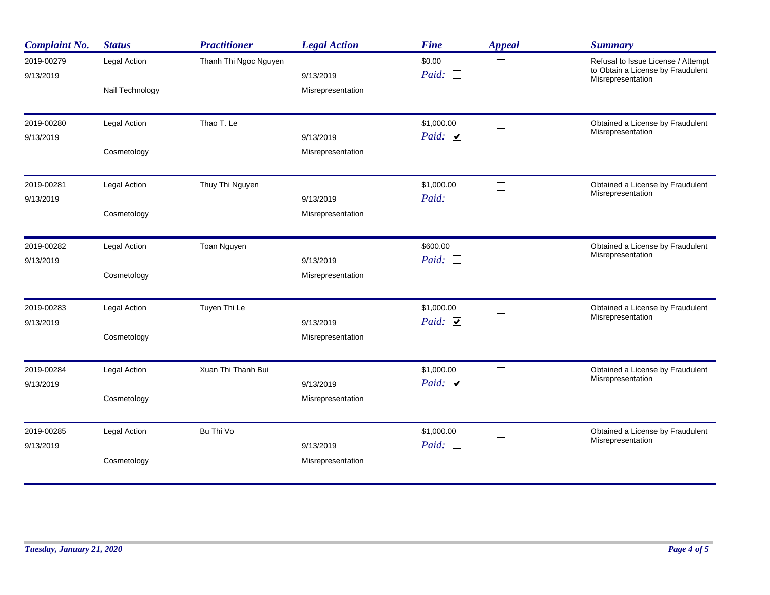| <b>Complaint No.</b>    | <b>Status</b>                   | <b>Practitioner</b>   | <b>Legal Action</b>            | <b>Fine</b>                | <b>Appeal</b> | <b>Summary</b>                                                                               |
|-------------------------|---------------------------------|-----------------------|--------------------------------|----------------------------|---------------|----------------------------------------------------------------------------------------------|
| 2019-00279<br>9/13/2019 | Legal Action<br>Nail Technology | Thanh Thi Ngoc Nguyen | 9/13/2019<br>Misrepresentation | \$0.00<br>Paid:            |               | Refusal to Issue License / Attempt<br>to Obtain a License by Fraudulent<br>Misrepresentation |
| 2019-00280<br>9/13/2019 | Legal Action<br>Cosmetology     | Thao T. Le            | 9/13/2019<br>Misrepresentation | \$1,000.00<br>Paid: $\Box$ | $\Box$        | Obtained a License by Fraudulent<br>Misrepresentation                                        |
| 2019-00281<br>9/13/2019 | Legal Action<br>Cosmetology     | Thuy Thi Nguyen       | 9/13/2019<br>Misrepresentation | \$1,000.00<br>Paid: $\Box$ |               | Obtained a License by Fraudulent<br>Misrepresentation                                        |
| 2019-00282<br>9/13/2019 | Legal Action<br>Cosmetology     | Toan Nguyen           | 9/13/2019<br>Misrepresentation | \$600.00<br>Paid:          |               | Obtained a License by Fraudulent<br>Misrepresentation                                        |
| 2019-00283<br>9/13/2019 | Legal Action<br>Cosmetology     | Tuyen Thi Le          | 9/13/2019<br>Misrepresentation | \$1,000.00<br>Paid: $\Box$ | $\Box$        | Obtained a License by Fraudulent<br>Misrepresentation                                        |
| 2019-00284<br>9/13/2019 | Legal Action<br>Cosmetology     | Xuan Thi Thanh Bui    | 9/13/2019<br>Misrepresentation | \$1,000.00<br>Paid: $\Box$ |               | Obtained a License by Fraudulent<br>Misrepresentation                                        |
| 2019-00285<br>9/13/2019 | Legal Action<br>Cosmetology     | Bu Thi Vo             | 9/13/2019<br>Misrepresentation | \$1,000.00<br>Paid: $\Box$ | $\Box$        | Obtained a License by Fraudulent<br>Misrepresentation                                        |